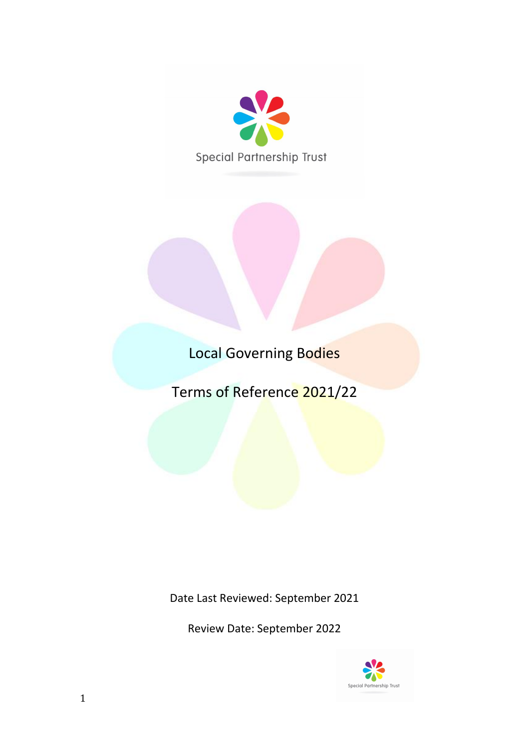

Local Governing Bodies

Terms of Reference 2021/22

Date Last Reviewed: September 2021

Review Date: September 2022

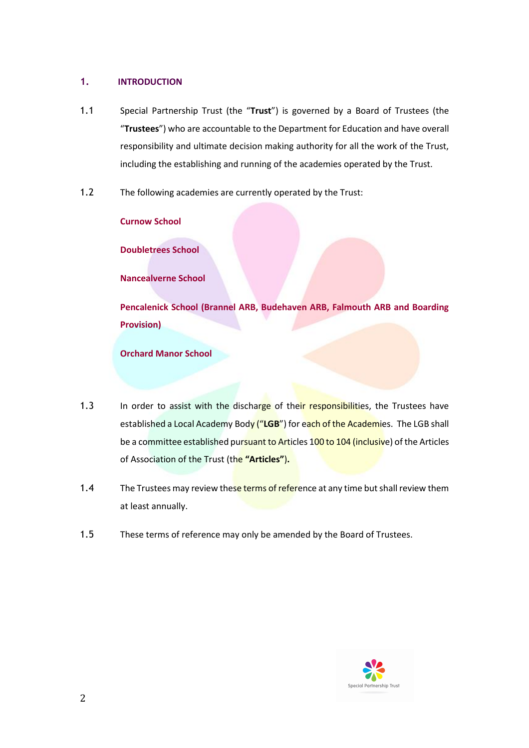# **1. INTRODUCTION**

- 1.1 Special Partnership Trust (the "**Trust**") is governed by a Board of Trustees (the "**Trustees**") who are accountable to the Department for Education and have overall responsibility and ultimate decision making authority for all the work of the Trust, including the establishing and running of the academies operated by the Trust.
- 1.2 The following academies are currently operated by the Trust:

**Curnow School**

**Doubletrees School**

**Nancealverne School** 

**Pencalenick School (Brannel ARB, Budehaven ARB, Falmouth ARB and Boarding Provision)** 

**Orchard Manor School** 

- 1.3 In order to assist with the discharge of their responsibilities, the Trustees have established a Local Academy Body ("**LGB**") for each of the Academies.The LGB shall be a committee established pursuant to Articles 100 to 104 (inclusive) of the Articles of Association of the Trust (the **"Articles"**)**.**
- 1.4 The Trustees may review these terms of reference at any time but shall review them at least annually.
- 1.5 These terms of reference may only be amended by the Board of Trustees.

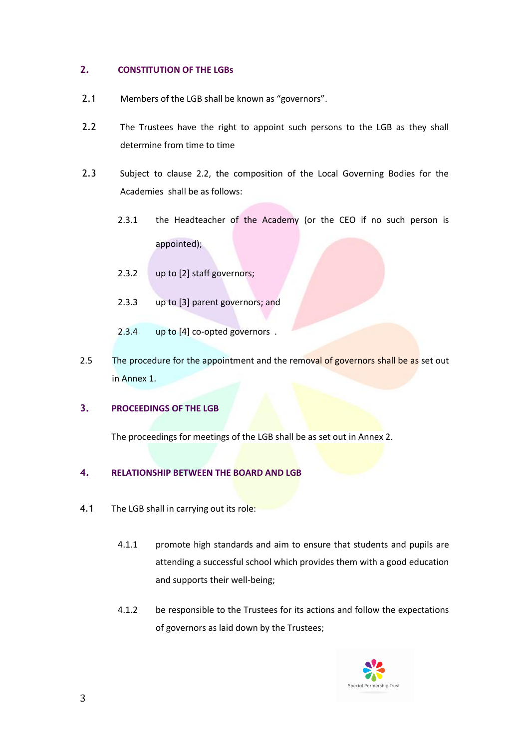# **2. CONSTITUTION OF THE LGBs**

- 2.1 Members of the LGB shall be known as "governors".
- 2.2 The Trustees have the right to appoint such persons to the LGB as they shall determine from time to time
- 2.3 Subject to clause 2.2, the composition of the Local Governing Bodies for the Academies shall be as follows:
	- 2.3.1 the Headteacher of the Academy (or the CEO if no such person is appointed);
	- 2.3.2 up to [2] staff governors;
	- 2.3.3 up to [3] parent governors; and
	- 2.3.4 up to [4] co-opted governors .
- 2.5 The procedure for the appointment and the removal of governors shall be as set out in Annex 1.

### **3. PROCEEDINGS OF THE LGB**

The proceedings for meetings of the LGB shall be as set out in Annex 2.

# **4. RELATIONSHIP BETWEEN THE BOARD AND LGB**

- 4.1 The LGB shall in carrying out its role:
	- 4.1.1 promote high standards and aim to ensure that students and pupils are attending a successful school which provides them with a good education and supports their well-being;
	- 4.1.2 be responsible to the Trustees for its actions and follow the expectations of governors as laid down by the Trustees;

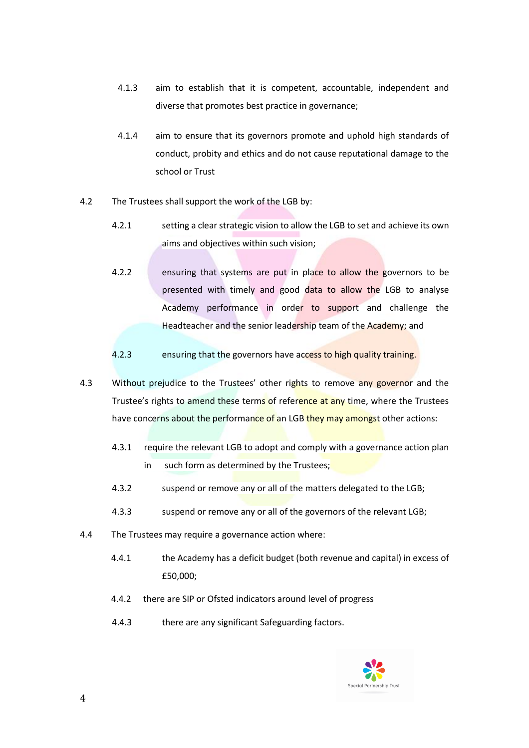- 4.1.3 aim to establish that it is competent, accountable, independent and diverse that promotes best practice in governance;
- 4.1.4 aim to ensure that its governors promote and uphold high standards of conduct, probity and ethics and do not cause reputational damage to the school or Trust
- 4.2 The Trustees shall support the work of the LGB by:
	- 4.2.1 setting a clear strategic vision to allow the LGB to set and achieve its own aims and objectives within such vision;
	- 4.2.2 ensuring that systems are put in place to allow the governors to be presented with timely and good data to allow the LGB to analyse Academy performance in order to support and challenge the Headteacher and the senior leadership team of the Academy; and
	- 4.2.3 ensuring that the governors have access to high quality training.
- 4.3 Without prejudice to the Trustees' other rights to remove any governor and the Trustee's rights to amend these terms of reference at any time, where the Trustees have concerns about the performance of an LGB they may amongst other actions:
	- 4.3.1 require the relevant LGB to adopt and comply with a governance action plan in such form as determined by the Trustees;
	- 4.3.2 suspend or remove any or all of the matters delegated to the LGB;
	- 4.3.3 suspend or remove any or all of the governors of the relevant LGB;
- 4.4 The Trustees may require a governance action where:
	- 4.4.1 the Academy has a deficit budget (both revenue and capital) in excess of £50,000;
	- 4.4.2 there are SIP or Ofsted indicators around level of progress
	- 4.4.3 there are any significant Safeguarding factors.

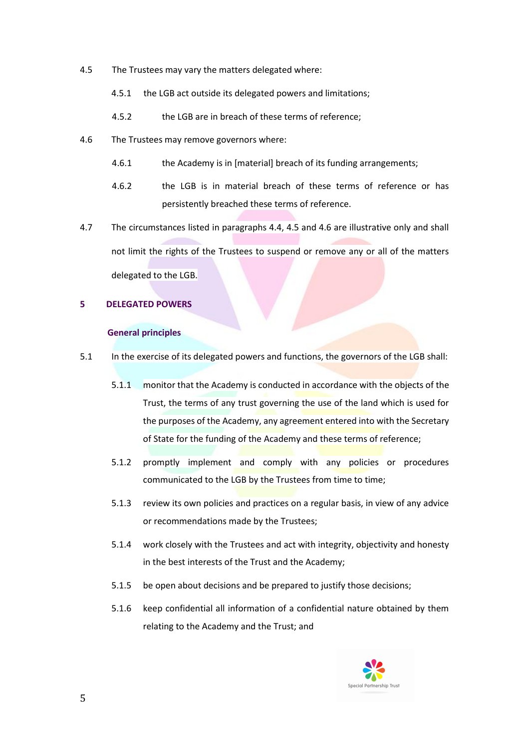- 4.5 The Trustees may vary the matters delegated where:
	- 4.5.1 the LGB act outside its delegated powers and limitations;
	- 4.5.2 the LGB are in breach of these terms of reference;
- 4.6 The Trustees may remove governors where:
	- 4.6.1 the Academy is in [material] breach of its funding arrangements;
	- 4.6.2 the LGB is in material breach of these terms of reference or has persistently breached these terms of reference.
- 4.7 The circumstances listed in paragraphs 4.4, 4.5 and 4.6 are illustrative only and shall not limit the rights of the Trustees to suspend or remove any or all of the matters delegated to the LGB.

### **5 DELEGATED POWERS**

#### **General principles**

- 5.1 In the exercise of its delegated powers and functions, the governors of the LGB shall:
	- 5.1.1 monitor that the Academy is conducted in accordance with the objects of the Trust, the terms of any trust governing the use of the land which is used for the purposes of the Academy, any agreement entered into with the Secretary of State for the funding of the Academy and these terms of reference;
	- 5.1.2 promptly implement and comply with any policies or procedures communicated to the LGB by the Trustees from time to time;
	- 5.1.3 review its own policies and practices on a regular basis, in view of any advice or recommendations made by the Trustees;
	- 5.1.4 work closely with the Trustees and act with integrity, objectivity and honesty in the best interests of the Trust and the Academy;
	- 5.1.5 be open about decisions and be prepared to justify those decisions;
	- 5.1.6 keep confidential all information of a confidential nature obtained by them relating to the Academy and the Trust; and

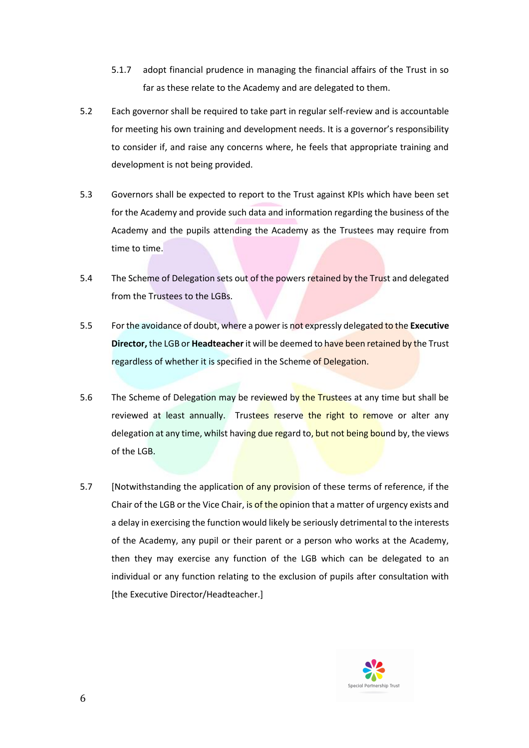- 5.1.7 adopt financial prudence in managing the financial affairs of the Trust in so far as these relate to the Academy and are delegated to them.
- 5.2 Each governor shall be required to take part in regular self-review and is accountable for meeting his own training and development needs. It is a governor's responsibility to consider if, and raise any concerns where, he feels that appropriate training and development is not being provided.
- 5.3 Governors shall be expected to report to the Trust against KPIs which have been set for the Academy and provide such data and information regarding the business of the Academy and the pupils attending the Academy as the Trustees may require from time to time.
- 5.4 The Scheme of Delegation sets out of the powers retained by the Trust and delegated from the Trustees to the LGBs.
- 5.5 For the avoidance of doubt, where a power is not expressly delegated to the **Executive Director,** the LGB or **Headteacher** it will be deemed to have been retained by the Trust regardless of whether it is specified in the Scheme of Delegation.
- 5.6 The Scheme of Delegation may be reviewed by the Trustees at any time but shall be reviewed at least annually. Trustees reserve the right to remove or alter any delegation at any time, whilst having due regard to, but not being bound by, the views of the LGB.
- 5.7 [Notwithstanding the application of any provision of these terms of reference, if the Chair of the LGB or the Vice Chair, is of the opinion that a matter of urgency exists and a delay in exercising the function would likely be seriously detrimental to the interests of the Academy, any pupil or their parent or a person who works at the Academy, then they may exercise any function of the LGB which can be delegated to an individual or any function relating to the exclusion of pupils after consultation with [the Executive Director/Headteacher.]

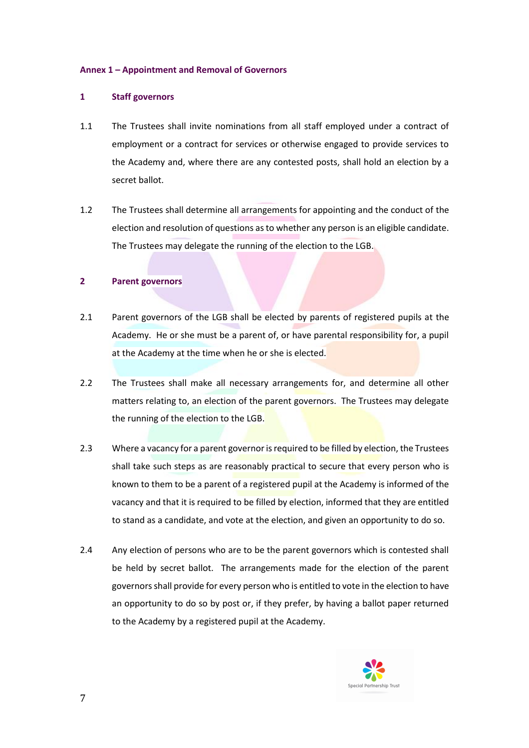### **Annex 1 – Appointment and Removal of Governors**

### **1 Staff governors**

- 1.1 The Trustees shall invite nominations from all staff employed under a contract of employment or a contract for services or otherwise engaged to provide services to the Academy and, where there are any contested posts, shall hold an election by a secret ballot.
- 1.2 The Trustees shall determine all arrangements for appointing and the conduct of the election and resolution of questions as to whether any person is an eligible candidate. The Trustees may delegate the running of the election to the LGB.

### **2 Parent governors**

- 2.1 Parent governors of the LGB shall be elected by parents of registered pupils at the Academy. He or she must be a parent of, or have parental responsibility for, a pupil at the Academy at the time when he or she is elected.
- 2.2 The Trustees shall make all necessary arrangements for, and determine all other matters relating to, an election of the parent governors. The Trustees may delegate the running of the election to the LGB.
- 2.3 Where a vacancy for a parent governor is required to be filled by election, the Trustees shall take such steps as are reasonably practical to secure that every person who is known to them to be a parent of a registered pupil at the Academy is informed of the vacancy and that it is required to be filled by election, informed that they are entitled to stand as a candidate, and vote at the election, and given an opportunity to do so.
- 2.4 Any election of persons who are to be the parent governors which is contested shall be held by secret ballot. The arrangements made for the election of the parent governors shall provide for every person who is entitled to vote in the election to have an opportunity to do so by post or, if they prefer, by having a ballot paper returned to the Academy by a registered pupil at the Academy.

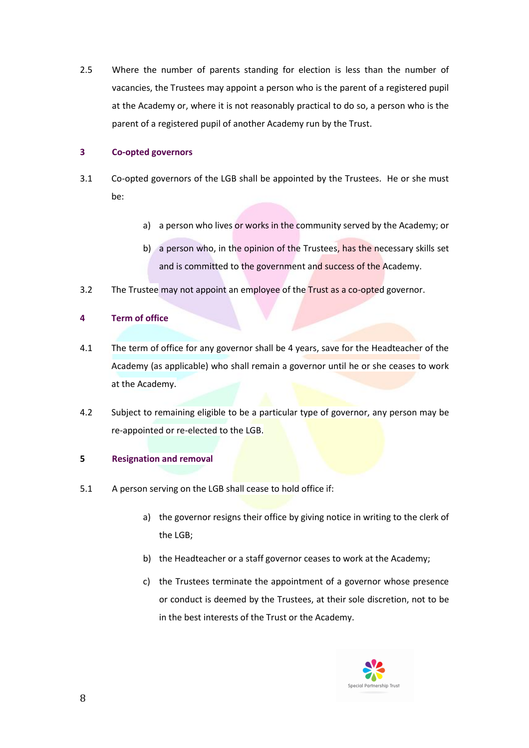2.5 Where the number of parents standing for election is less than the number of vacancies, the Trustees may appoint a person who is the parent of a registered pupil at the Academy or, where it is not reasonably practical to do so, a person who is the parent of a registered pupil of another Academy run by the Trust.

# **3 Co-opted governors**

- 3.1 Co-opted governors of the LGB shall be appointed by the Trustees. He or she must be:
	- a) a person who lives or works in the community served by the Academy; or
	- b) a person who, in the opinion of the Trustees, has the necessary skills set and is committed to the government and success of the Academy.
- 3.2 The Trustee may not appoint an employee of the Trust as a co-opted governor.

# **4 Term of office**

- 4.1 The term of office for any governor shall be 4 years, save for the Headteacher of the Academy (as applicable) who shall remain a governor until he or she ceases to work at the Academy.
- 4.2 Subject to remaining eligible to be a particular type of governor, any person may be re-appointed or re-elected to the LGB.

# **5 Resignation and removal**

- 5.1 A person serving on the LGB shall cease to hold office if:
	- a) the governor resigns their office by giving notice in writing to the clerk of the LGB;
	- b) the Headteacher or a staff governor ceases to work at the Academy;
	- c) the Trustees terminate the appointment of a governor whose presence or conduct is deemed by the Trustees, at their sole discretion, not to be in the best interests of the Trust or the Academy.

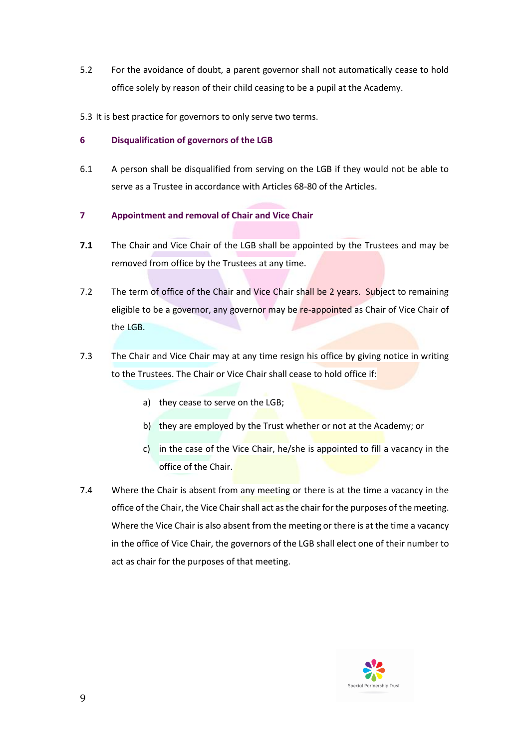- 5.2 For the avoidance of doubt, a parent governor shall not automatically cease to hold office solely by reason of their child ceasing to be a pupil at the Academy.
- 5.3 It is best practice for governors to only serve two terms.

# **6 Disqualification of governors of the LGB**

- 6.1 A person shall be disqualified from serving on the LGB if they would not be able to serve as a Trustee in accordance with Articles 68-80 of the Articles.
- **7 Appointment and removal of Chair and Vice Chair**
- **7.1** The Chair and Vice Chair of the LGB shall be appointed by the Trustees and may be removed from office by the Trustees at any time.
- 7.2 The term of office of the Chair and Vice Chair shall be 2 years. Subject to remaining eligible to be a governor, any governor may be re-appointed as Chair of Vice Chair of the LGB.
- 7.3 The Chair and Vice Chair may at any time resign his office by giving notice in writing to the Trustees. The Chair or Vice Chair shall cease to hold office if:
	- a) they cease to serve on the LGB;
	- b) they are employed by the Trust whether or not at the Academy; or
	- c) in the case of the Vice Chair, he/she is appointed to fill a vacancy in the office of the Chair.
- 7.4 Where the Chair is absent from any meeting or there is at the time a vacancy in the office of the Chair, the Vice Chair shall act as the chair for the purposes of the meeting. Where the Vice Chair is also absent from the meeting or there is at the time a vacancy in the office of Vice Chair, the governors of the LGB shall elect one of their number to act as chair for the purposes of that meeting.

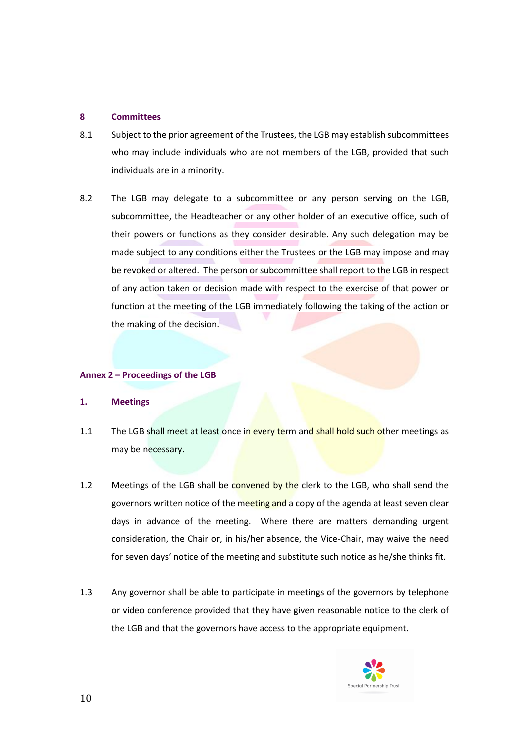### **8 Committees**

- 8.1 Subject to the prior agreement of the Trustees, the LGB may establish subcommittees who may include individuals who are not members of the LGB, provided that such individuals are in a minority.
- 8.2 The LGB may delegate to a subcommittee or any person serving on the LGB, subcommittee, the Headteacher or any other holder of an executive office, such of their powers or functions as they consider desirable. Any such delegation may be made subject to any conditions either the Trustees or the LGB may impose and may be revoked or altered. The person or subcommittee shall report to the LGB in respect of any action taken or decision made with respect to the exercise of that power or function at the meeting of the LGB immediately following the taking of the action or the making of the decision.

### **Annex 2 – Proceedings of the LGB**

#### **1. Meetings**

- 1.1 The LGB shall meet at least once in every term and shall hold such other meetings as may be necessary.
- 1.2 Meetings of the LGB shall be convened by the clerk to the LGB, who shall send the governors written notice of the meeting and a copy of the agenda at least seven clear days in advance of the meeting. Where there are matters demanding urgent consideration, the Chair or, in his/her absence, the Vice-Chair, may waive the need for seven days' notice of the meeting and substitute such notice as he/she thinks fit.
- 1.3 Any governor shall be able to participate in meetings of the governors by telephone or video conference provided that they have given reasonable notice to the clerk of the LGB and that the governors have access to the appropriate equipment.

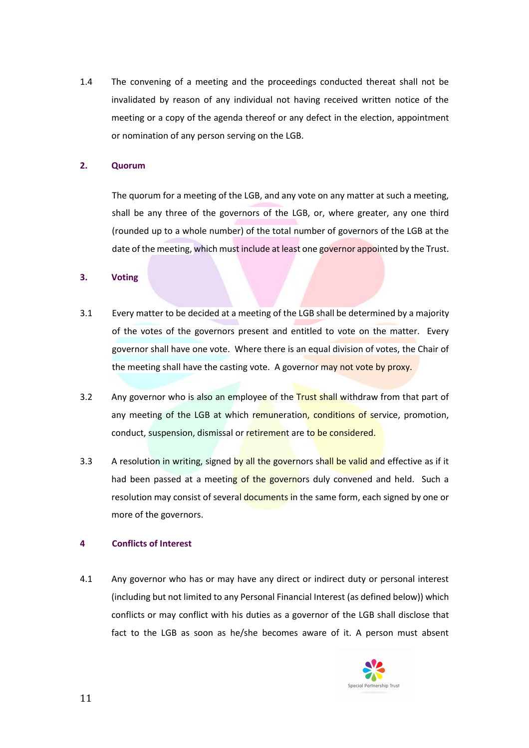1.4 The convening of a meeting and the proceedings conducted thereat shall not be invalidated by reason of any individual not having received written notice of the meeting or a copy of the agenda thereof or any defect in the election, appointment or nomination of any person serving on the LGB.

### **2. Quorum**

The quorum for a meeting of the LGB, and any vote on any matter at such a meeting, shall be any three of the governors of the LGB, or, where greater, any one third (rounded up to a whole number) of the total number of governors of the LGB at the date of the meeting, which must include at least one governor appointed by the Trust.

### **3. Voting**

- 3.1 Every matter to be decided at a meeting of the LGB shall be determined by a majority of the votes of the governors present and entitled to vote on the matter. Every governor shall have one vote. Where there is an equal division of votes, the Chair of the meeting shall have the casting vote. A governor may not vote by proxy.
- 3.2 Any governor who is also an employee of the Trust shall withdraw from that part of any meeting of the LGB at which remuneration, conditions of service, promotion, conduct, suspension, dismissal or retirement are to be considered.
- 3.3 A resolution in writing, signed by all the governors shall be valid and effective as if it had been passed at a meeting of the governors duly convened and held. Such a resolution may consist of several documents in the same form, each signed by one or more of the governors.

#### **4 Conflicts of Interest**

4.1 Any governor who has or may have any direct or indirect duty or personal interest (including but not limited to any Personal Financial Interest (as defined below)) which conflicts or may conflict with his duties as a governor of the LGB shall disclose that fact to the LGB as soon as he/she becomes aware of it. A person must absent